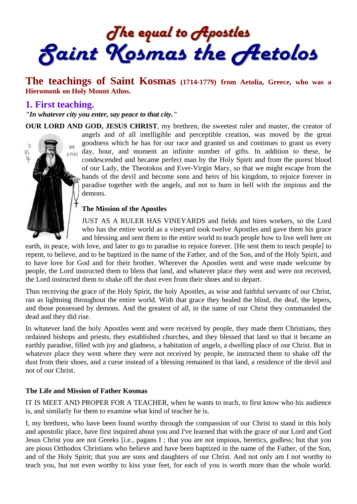The equal to Apostles<br>Saint Kosmas the Aetolos

# **The teachings of Saint Kosmas (1714-1779) from Aetolia, Greece, who was a Hieromonk on Holy Mount Athos.**

### **1. First teaching.**

*"In whatever city you enter, say peace to that city."* 

demons.

**OUR LORD AND GOD, JESUS CHRIST**, my brethren, the sweetest ruler and master, the creator of angels and of all intelligible and perceptible creation, was moved by the great goodness which he has for our race and granted us and continues to grant us every ò KO  $\lim_{\epsilon \to 0}$  day, hour, and moment an infinite number of gifts. In addition to these, he ίþ, condescended and became perfect man by the Holy Spirit and from the purest blood of our Lady, the Theotokos and Ever-Virgin Mary, so that we might escape from the hands of the devil and become sons and heirs of his kingdom, to rejoice forever in paradise together with the angels, and not to burn in hell with the impious and the

#### **The Mission of the Apostles**

JUST AS A RULER HAS VINEYARDS and fields and hires workers, so the Lord who has the entire world as a vineyard took twelve Apostles and gave them his grace and blessing and sent them to the entire world to teach people how to live well here on

earth, in peace, with love, and later to go to paradise to rejoice forever. [He sent them to teach people] to repent, to believe, and to be baptized in the name of the Father, and of the Son, and of the Holy Spirit, and to have love for God and for their brother. Wherever the Apostles went and were made welcome by people, the Lord instructed them to bless that land, and whatever place they went and were not received, the Lord instructed them to shake off the dust even from their shoes and to depart.

Thus receiving the grace of the Holy Spirit, the holy Apostles, as wise and faithful servants of our Christ, ran as lightning throughout the entire world. With that grace they healed the blind, the deaf, the lepers, and those possessed by demons. And the greatest of all, in the name of our Christ they commanded the dead and they did rise.

In whatever land the holy Apostles went and were received by people, they made them Christians, they ordained bishops and priests, they established churches, and they blessed that land so that it became an earthly paradise, filled with joy and gladness, a habitation of angels, a dwelling place of our Christ. But in whatever place they went where they were not received by people, he instructed them to shake off the dust from their shoes, and a curse instead of a blessing remained in that land, a residence of the devil and not of our Christ.

#### **The Life and Mission of Father Kosmas**

IT IS MEET AND PROPER FOR A TEACHER, when he wants to teach, to first know who his audience is, and similarly for them to examine what kind of teacher he is.

I, my brethren, who have been found worthy through the compassion of our Christ to stand in this holy and apostolic place, have first inquired about you and I've learned that with the grace of our Lord and God Jesus Christ you are not Greeks [i.e., pagans I ; that you are not impious, heretics, godless; but that you are pious Orthodox Christians who believe and have been baptized in the name of the Father, of the Son, and of the Holy Spirit; that you are sons and daughters of our Christ. And not only am I not worthy to teach you, but not even worthy to kiss your feet, for each of you is worth more than the whole world.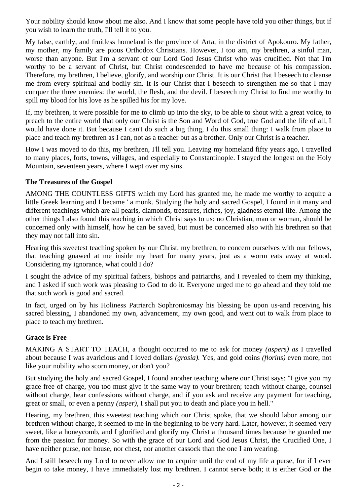Your nobility should know about me also. And I know that some people have told you other things, but if you wish to learn the truth, I'll tell it to you.

My false, earthly, and fruitless homeland is the province of Arta, in the district of Apokouro. My father, my mother, my family are pious Orthodox Christians. However, I too am, my brethren, a sinful man, worse than anyone. But I'm a servant of our Lord God Jesus Christ who was crucified. Not that I'm worthy to be a servant of Christ, but Christ condescended to have me because of his compassion. Therefore, my brethren, I believe, glorify, and worship our Christ. It is our Christ that I beseech to cleanse me from every spiritual and bodily sin. It is our Christ that I beseech to strengthen me so that I may conquer the three enemies: the world, the flesh, and the devil. I beseech my Christ to find me worthy to spill my blood for his love as he spilled his for my love.

If, my brethren, it were possible for me to climb up into the sky, to be able to shout with a great voice, to preach to the entire world that only our Christ is the Son and Word of God, true God and the life of all, I would have done it. But because I can't do such a big thing, I do this small thing: I walk from place to place and teach my brethren as I can, not as a teacher but as a brother. Only our Christ is a teacher.

How I was moved to do this, my brethren, I'll tell you. Leaving my homeland fifty years ago, I travelled to many places, forts, towns, villages, and especially to Constantinople. I stayed the longest on the Holy Mountain, seventeen years, where I wept over my sins.

### **The Treasures of the Gospel**

AMONG THE COUNTLESS GIFTS which my Lord has granted me, he made me worthy to acquire a little Greek learning and I became ' a monk. Studying the holy and sacred Gospel, I found in it many and different teachings which are all pearls, diamonds, treasures, riches, joy, gladness eternal life. Among the other things I also found this teaching in which Christ says to us: no Christian, man or woman, should be concerned only with himself, how he can be saved, but must be concerned also with his brethren so that they may not fall into sin.

Hearing this sweetest teaching spoken by our Christ, my brethren, to concern ourselves with our fellows, that teaching gnawed at me inside my heart for many years, just as a worm eats away at wood. Considering my ignorance, what could I do?

I sought the advice of my spiritual fathers, bishops and patriarchs, and I revealed to them my thinking, and I asked if such work was pleasing to God to do it. Everyone urged me to go ahead and they told me that such work is good and sacred.

In fact, urged on by his Holiness Patriarch Sophroniosmay his blessing be upon us-and receiving his sacred blessing, I abandoned my own, advancement, my own good, and went out to walk from place to place to teach my brethren.

# **Grace is Free**

MAKING A START TO TEACH, a thought occurred to me to ask for money *(aspers) as* I travelled about because I was avaricious and I loved dollars *(grosia).* Yes, and gold coins *(florins)* even more, not like your nobility who scorn money, or don't you?

But studying the holy and sacred Gospel, I found another teaching where our Christ says: "I give you my grace free of charge, you too must give it the same way to your brethren; teach without charge, counsel without charge, hear confessions without charge, and if you ask and receive any payment for teaching, great or small, or even a penny *(asper),* I shall put you to death and place you in hell."

Hearing, my brethren, this sweetest teaching which our Christ spoke, that we should labor among our brethren without charge, it seemed to me in the beginning to be very hard. Later, however, it seemed very sweet, like a honeycomb, and I glorified and glorify my Christ a thousand times because he guarded me from the passion for money. So with the grace of our Lord and God Jesus Christ, the Crucified One, I have neither purse, nor house, nor chest, nor another cassock than the one I am wearing.

And I still beseech my Lord to never allow me to acquire until the end of my life a purse, for if I ever begin to take money, I have immediately lost my brethren. I cannot serve both; it is either God or the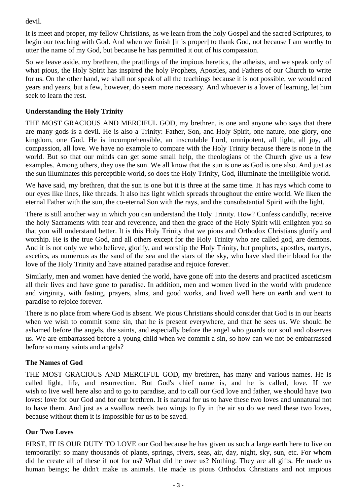devil.

It is meet and proper, my fellow Christians, as we learn from the holy Gospel and the sacred Scriptures, to begin our teaching with God. And when we finish [it is proper] to thank God, not because I am worthy to utter the name of my God, but because he has permitted it out of his compassion.

So we leave aside, my brethren, the prattlings of the impious heretics, the atheists, and we speak only of what pious, the Holy Spirit has inspired the holy Prophets, Apostles, and Fathers of our Church to write for us. On the other hand, we shall not speak of all the teachings because it is not possible, we would need years and years, but a few, however, do seem more necessary. And whoever is a lover of learning, let him seek to learn the rest.

## **Understanding the Holy Trinity**

THE MOST GRACIOUS AND MERCIFUL GOD, my brethren, is one and anyone who says that there are many gods is a devil. He is also a Trinity: Father, Son, and Holy Spirit, one nature, one glory, one kingdom, one God. He is incomprehensible, an inscrutable Lord, omnipotent, all light, all joy, all compassion, all love. We have no example to compare with the Holy Trinity because there is none in the world. But so that our minds can get some small help, the theologians of the Church give us a few examples. Among others, they use the sun. We all know that the sun is one as God is one also. And just as the sun illuminates this perceptible world, so does the Holy Trinity, God, illuminate the intelligible world.

We have said, my brethren, that the sun is one but it is three at the same time. It has rays which come to our eyes like lines, like threads. It also has light which spreads throughout the entire world. We liken the eternal Father with the sun, the co-eternal Son with the rays, and the consubstantial Spirit with the light.

There is still another way in which you can understand the Holy Trinity. How? Confess candidly, receive the holy Sacraments with fear and reverence, and then the grace of the Holy Spirit will enlighten you so that you will understand better. It is this Holy Trinity that we pious and Orthodox Christians glorify and worship. He is the true God, and all others except for the Holy Trinity who are called god, are demons. And it is not only we who believe, glorify, and worship the Holy Trinity, but prophets, apostles, martyrs, ascetics, as numerous as the sand of the sea and the stars of the sky, who have shed their blood for the love of the Holy Trinity and have attained paradise and rejoice forever.

Similarly, men and women have denied the world, have gone off into the deserts and practiced asceticism all their lives and have gone to paradise. In addition, men and women lived in the world with prudence and virginity, with fasting, prayers, alms, and good works, and lived well here on earth and went to paradise to rejoice forever.

There is no place from where God is absent. We pious Christians should consider that God is in our hearts when we wish to commit some sin, that he is present everywhere, and that he sees us. We should be ashamed before the angels, the saints, and especially before the angel who guards our soul and observes us. We are embarrassed before a young child when we commit a sin, so how can we not be embarrassed before so many saints and angels?

### **The Names of God**

THE MOST GRACIOUS AND MERCIFUL GOD, my brethren, has many and various names. He is called light, life, and resurrection. But God's chief name is, and he is called, love. If we wish to live well here also and to go to paradise, and to call our God love and father, we should have two loves: love for our God and for our brethren. It is natural for us to have these two loves and unnatural not to have them. And just as a swallow needs two wings to fly in the air so do we need these two loves, because without them it is impossible for us to be saved.

### **Our Two Loves**

FIRST, IT IS OUR DUTY TO LOVE our God because he has given us such a large earth here to live on temporarily: so many thousands of plants, springs, rivers, seas, air, day, night, sky, sun, etc. For whom did he create all of these if not for us? What did he owe us? Nothing. They are all gifts. He made us human beings; he didn't make us animals. He made us pious Orthodox Christians and not impious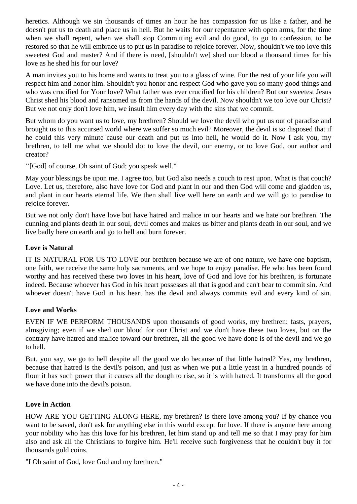heretics. Although we sin thousands of times an hour he has compassion for us like a father, and he doesn't put us to death and place us in hell. But he waits for our repentance with open arms, for the time when we shall repent, when we shall stop Committing evil and do good, to go to confession, to be restored so that he will embrace us to put us in paradise to rejoice forever. Now, shouldn't we too love this sweetest God and master? And if there is need, [shouldn't we] shed our blood a thousand times for his love as he shed his for our love?

A man invites you to his home and wants to treat you to a glass of wine. For the rest of your life you will respect him and honor him. Shouldn't you honor and respect God who gave you so many good things and who was crucified for Your love? What father was ever crucified for his children? But our sweetest Jesus Christ shed his blood and ransomed us from the hands of the devil. Now shouldn't we too love our Christ? But we not only don't love him, we insult him every day with the sins that we commit.

But whom do you want us to love, my brethren? Should we love the devil who put us out of paradise and brought us to this accursed world where we suffer so much evil? Moreover, the devil is so disposed that if he could this very minute cause our death and put us into hell, he would do it. Now I ask you, my brethren, to tell me what we should do: to love the devil, our enemy, or to love God, our author and creator?

**"**[God] of course, Oh saint of God; you speak well."

May your blessings be upon me. I agree too, but God also needs a couch to rest upon. What is that couch? Love. Let us, therefore, also have love for God and plant in our and then God will come and gladden us, and plant in our hearts eternal life. We then shall live well here on earth and we will go to paradise to rejoice forever.

But we not only don't have love but have hatred and malice in our hearts and we hate our brethren. The cunning and plants death in our soul, devil comes and makes us bitter and plants death in our soul, and we live badly here on earth and go to hell and burn forever.

### **Love is Natural**

IT IS NATURAL FOR US TO LOVE our brethren because we are of one nature, we have one baptism, one faith, we receive the same holy sacraments, and we hope to enjoy paradise. He who has been found worthy and has received these two loves in his heart, love of God and love for his brethren, is fortunate indeed. Because whoever has God in his heart possesses all that is good and can't bear to commit sin. And whoever doesn't have God in his heart has the devil and always commits evil and every kind of sin.

### **Love and Works**

EVEN IF WE PERFORM THOUSANDS upon thousands of good works, my brethren: fasts, prayers, almsgiving; even if we shed our blood for our Christ and we don't have these two loves, but on the contrary have hatred and malice toward our brethren, all the good we have done is of the devil and we go to hell.

But, you say, we go to hell despite all the good we do because of that little hatred? Yes, my brethren, because that hatred is the devil's poison, and just as when we put a little yeast in a hundred pounds of flour it has such power that it causes all the dough to rise, so it is with hatred. It transforms all the good we have done into the devil's poison.

### **Love in Action**

HOW ARE YOU GETTING ALONG HERE, my brethren? Is there love among you? If by chance you want to be saved, don't ask for anything else in this world except for love. If there is anyone here among your nobility who has this love for his brethren, let him stand up and tell me so that I may pray for him also and ask all the Christians to forgive him. He'll receive such forgiveness that he couldn't buy it for thousands gold coins.

"I Oh saint of God, love God and my brethren."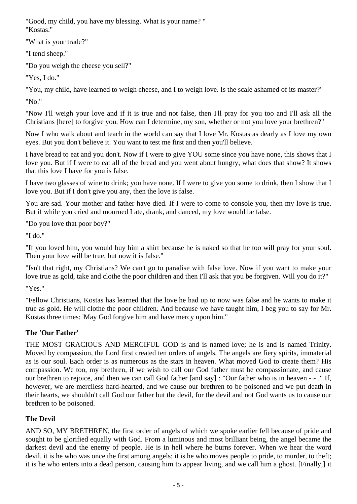"Good, my child, you have my blessing. What is your name? " "Kostas."

"What is your trade?"

"I tend sheep."

"Do you weigh the cheese you sell?"

"Yes, I do."

"You, my child, have learned to weigh cheese, and I to weigh love. Is the scale ashamed of its master?"

"No."

"Now I'll weigh your love and if it is true and not false, then I'll pray for you too and I'll ask all the Christians [here] to forgive you. How can I determine, my son, whether or not you love your brethren?"

Now I who walk about and teach in the world can say that I love Mr. Kostas as dearly as I love my own eyes. But you don't believe it. You want to test me first and then you'll believe.

I have bread to eat and you don't. Now if I were to give YOU some since you have none, this shows that I love you. But if I were to eat all of the bread and you went about hungry, what does that show? It shows that this love I have for you is false.

I have two glasses of wine to drink; you have none. If I were to give you some to drink, then I show that I love you. But if I don't give you any, then the love is false.

You are sad. Your mother and father have died. If I were to come to console you, then my love is true. But if while you cried and mourned I ate, drank, and danced, my love would be false.

"Do you love that poor boy?"

"I do."

"If you loved him, you would buy him a shirt because he is naked so that he too will pray for your soul. Then your love will be true, but now it is false."

"Isn't that right, my Christians? We can't go to paradise with false love. Now if you want to make your love true as gold, take and clothe the poor children and then I'll ask that you be forgiven. Will you do it?"

"Yes."

"Fellow Christians, Kostas has learned that the love he had up to now was false and he wants to make it true as gold. He will clothe the poor children. And because we have taught him, I beg you to say for Mr. Kostas three times: 'May God forgive him and have mercy upon him."

# **The 'Our Father'**

THE MOST GRACIOUS AND MERCIFUL GOD is and is named love; he is and is named Trinity. Moved by compassion, the Lord first created ten orders of angels. The angels are fiery spirits, immaterial as is our soul. Each order is as numerous as the stars in heaven. What moved God to create them? His compassion. We too, my brethren, if we wish to call our God father must be compassionate, and cause our brethren to rejoice, and then we can call God father [and say] : "Our father who is in heaven - - ." If, however, we are merciless hard-hearted, and we cause our brethren to be poisoned and we put death in their hearts, we shouldn't call God our father but the devil, for the devil and not God wants us to cause our brethren to be poisoned.

# **The Devil**

AND SO, MY BRETHREN, the first order of angels of which we spoke earlier fell because of pride and sought to be glorified equally with God. From a luminous and most brilliant being, the angel became the darkest devil and the enemy of people. He is in hell where he burns forever. When we hear the word devil, it is he who was once the first among angels; it is he who moves people to pride, to murder, to theft; it is he who enters into a dead person, causing him to appear living, and we call him a ghost. [Finally,] it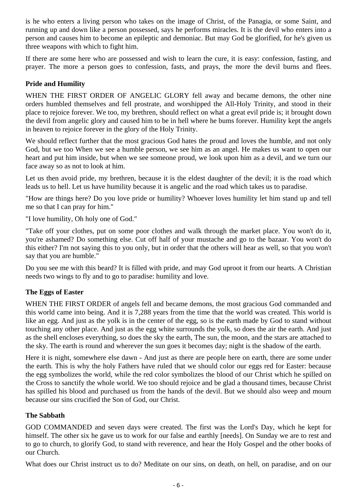is he who enters a living person who takes on the image of Christ, of the Panagia, or some Saint, and running up and down like a person possessed, says he performs miracles. It is the devil who enters into a person and causes him to become an epileptic and demoniac. But may God be glorified, for he's given us three weapons with which to fight him.

If there are some here who are possessed and wish to learn the cure, it is easy: confession, fasting, and prayer. The more a person goes to confession, fasts, and prays, the more the devil burns and flees.

### **Pride and Humility**

WHEN THE FIRST ORDER OF ANGELIC GLORY fell away and became demons, the other nine orders humbled themselves and fell prostrate, and worshipped the All-Holy Trinity, and stood in their place to rejoice forever. We too, my brethren, should reflect on what a great evil pride is; it brought down the devil from angelic glory and caused him to be in hell where he bums forever. Humility kept the angels in heaven to rejoice forever in the glory of the Holy Trinity.

We should reflect further that the most gracious God hates the proud and loves the humble, and not only God, but we too When we see a humble person, we see him as an angel. He makes us want to open our heart and put him inside, but when we see someone proud, we look upon him as a devil, and we turn our face away so as not to look at him.

Let us then avoid pride, my brethren, because it is the eldest daughter of the devil; it is the road which leads us to hell. Let us have humility because it is angelic and the road which takes us to paradise.

"How are things here? Do you love pride or humility? Whoever loves humility let him stand up and tell me so that I can pray for him."

"I love humility, Oh holy one of God."

"Take off your clothes, put on some poor clothes and walk through the market place. You won't do it, you're ashamed? Do something else. Cut off half of your mustache and go to the bazaar. You won't do this either? I'm not saying this to you only, but in order that the others will hear as well, so that you won't say that you are humble."

Do you see me with this beard? It is filled with pride, and may God uproot it from our hearts. A Christian needs two wings to fly and to go to paradise: humility and love.

# **The Eggs of Easter**

WHEN THE FIRST ORDER of angels fell and became demons, the most gracious God commanded and this world came into being. And it is 7,288 years from the time that the world was created. This world is like an egg. And just as the yolk is in the center of the egg, so is the earth made by God to stand without touching any other place. And just as the egg white surrounds the yolk, so does the air the earth. And just as the shell encloses everything, so does the sky the earth, The sun, the moon, and the stars are attached to the sky. The earth is round and wherever the sun goes it becomes day; night is the shadow of the earth.

Here it is night, somewhere else dawn - And just as there are people here on earth, there are some under the earth. This is why the holy Fathers have ruled that we should color our eggs red for Easter: because the egg symbolizes the world, while the red color symbolizes the blood of our Christ which he spilled on the Cross to sanctify the whole world. We too should rejoice and be glad a thousand times, because Christ has spilled his blood and purchased us from the hands of the devil. But we should also weep and mourn because our sins crucified the Son of God, our Christ.

### **The Sabbath**

GOD COMMANDED and seven days were created. The first was the Lord's Day, which he kept for himself. The other six he gave us to work for our false and earthly [needs]. On Sunday we are to rest and to go to church, to glorify God, to stand with reverence, and hear the Holy Gospel and the other books of our Church.

What does our Christ instruct us to do? Meditate on our sins, on death, on hell, on paradise, and on our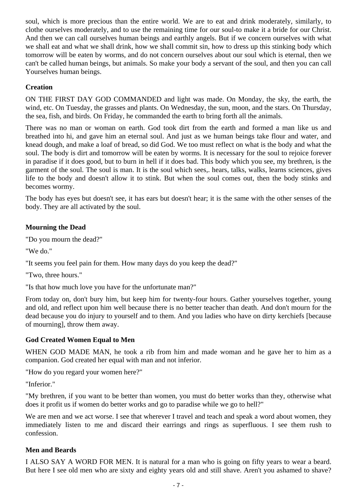soul, which is more precious than the entire world. We are to eat and drink moderately, similarly, to clothe ourselves moderately, and to use the remaining time for our soul-to make it a bride for our Christ. And then we can call ourselves human beings and earthly angels. But if we concern ourselves with what we shall eat and what we shall drink, how we shall commit sin, how to dress up this stinking body which tomorrow will be eaten by worms, and do not concern ourselves about our soul which is eternal, then we can't be called human beings, but animals. So make your body a servant of the soul, and then you can call Yourselves human beings.

## **Creation**

ON THE FIRST DAY GOD COMMANDED and light was made. On Monday, the sky, the earth, the wind, etc. On Tuesday, the grasses and plants. On Wednesday, the sun, moon, and the stars. On Thursday, the sea, fish, and birds. On Friday, he commanded the earth to bring forth all the animals.

There was no man or woman on earth. God took dirt from the earth and formed a man like us and breathed into hi, and gave him an eternal soul. And just as we human beings take flour and water, and knead dough, and make a loaf of bread, so did God. We too must reflect on what is the body and what the soul. The body is dirt and tomorrow will be eaten by worms. It is necessary for the soul to rejoice forever in paradise if it does good, but to burn in hell if it does bad. This body which you see, my brethren, is the garment of the soul. The soul is man. It is the soul which sees,. hears, talks, walks, learns sciences, gives life to the body and doesn't allow it to stink. But when the soul comes out, then the body stinks and becomes wormy.

The body has eyes but doesn't see, it has ears but doesn't hear; it is the same with the other senses of the body. They are all activated by the soul.

### **Mourning the Dead**

"Do you mourn the dead?"

"We do."

"It seems you feel pain for them. How many days do you keep the dead?"

"Two, three hours."

"Is that how much love you have for the unfortunate man?"

From today on, don't bury him, but keep him for twenty-four hours. Gather yourselves together, young and old, and reflect upon him well because there is no better teacher than death. And don't mourn for the dead because you do injury to yourself and to them. And you ladies who have on dirty kerchiefs [because of mourning], throw them away.

### **God Created Women Equal to Men**

WHEN GOD MADE MAN, he took a rib from him and made woman and he gave her to him as a companion. God created her equal with man and not inferior.

"How do you regard your women here?"

"Inferior."

"My brethren, if you want to be better than women, you must do better works than they, otherwise what does it profit us if women do better works and go to paradise while we go to hell?"

We are men and we act worse. I see that wherever I travel and teach and speak a word about women, they immediately listen to me and discard their earrings and rings as superfluous. I see them rush to confession.

#### **Men and Beards**

I ALSO SAY A WORD FOR MEN. It is natural for a man who is going on fifty years to wear a beard. But here I see old men who are sixty and eighty years old and still shave. Aren't you ashamed to shave?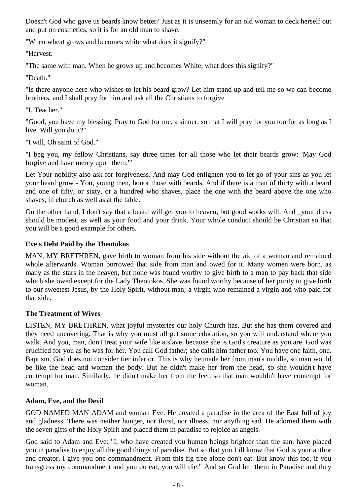Doesn't God who gave us beards know better? Just as it is unseemly for an old woman to deck herself out and put on cosmetics, so it is for an old man to shave.

"When wheat grows and becomes white what does it signify?"

"Harvest.

"The same with man. When he grows up and becomes White, what does this signify?"

"Death."

"Is there anyone here who wishes to let his beard grow? Let him stand up and tell me so we can become brothers, and I shall pray for him and ask all the Christians to forgive

"I, Teacher."

"Good, you have my blessing. Pray to God for me, a sinner, so that I will pray for you too for as long as I live. Will you do it?"

"I will, Oh saint of God."

"I beg you, my fellow Christians, say three times for all those who let their beards grow: 'May God forgive and have mercy upon them."'

Let Your nobility also ask for forgiveness. And may God enlighten you to let go of your sins as you let your beard grow - You, young men, honor those with beards. And if there is a man of thirty with a beard and one of fifty, or sixty, or a hundred who shaves, place the one with the beard above the one who shaves, in church as well as at the table.

On the other hand, I don't say that a beard will get you to heaven, but good works will. And \_your dress should be modest, as well as your food and your drink. Your whole conduct should be Christian so that you will be a good example for others.

### **Eve's Debt Paid by the Theotokos**

MAN, MY BRETHREN, gave birth to woman from his side without the aid of a woman and remained whole afterwards. Woman borrowed that side from man and owed for it. Many women were born, as many as the stars in the heaven, but none was found worthy to give birth to a man to pay back that side which she owed except for the Lady Theotokos. She was found worthy because of her purity to give birth to our sweetest Jesus, by the Holy Spirit, without man; a virgin who remained a virgin and who paid for that side.

### **The Treatment of Wives**

LISTEN, MY BRETHREN, what joyful mysteries our holy Church has. But she has them covered and they need uncovering. That is why you must all get some education, so you will understand where you walk. And you, man, don't treat your wife like a slave, because she is God's creature as you are. God was crucified for you as he was for her. You call God father; she calls him father too. You have one faith, one. Baptism. God does not consider tier inferior. This is why he made her from man's middle, so man would be like the head and woman the body. But he didn't make her from the head, so she wouldn't have contempt for man. Similarly, he didn't make her from the feet, so that man wouldn't have contempt for woman.

### **Adam, Eve, and the Devil**

GOD NAMED MAN ADAM and woman Eve. He created a paradise in the area of the East full of joy and gladness. There was neither hunger, nor thirst, nor illness, nor anything sad. He adorned them with the seven gifts of the Holy Spirit and placed them in paradise to rejoice as angels.

God said to Adam and Eve: "I, who have created you human beings brighter than the sun, have placed you in paradise to enjoy all the good things of paradise. But so that you I ill know that God is your author and creator, I give you one commandment. From this fig tree alone don't eat. But know this too, if you transgress my commandment and you do eat, you will die." And so God left them in Paradise and they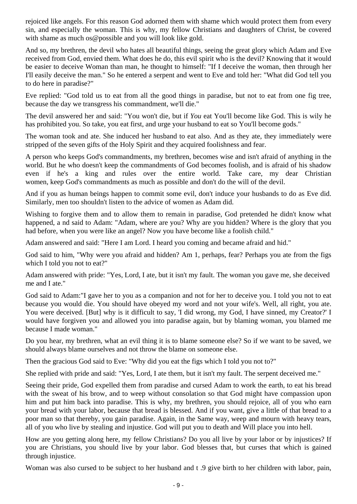rejoiced like angels. For this reason God adorned them with shame which would protect them from every sin, and especially the woman. This is why, my fellow Christians and daughters of Christ, be covered with shame as much os@possible and you will look like gold.

And so, my brethren, the devil who hates all beautiful things, seeing the great glory which Adam and Eve received from God, envied them. What does he do, this evil spirit who is the devil? Knowing that it would be easier to deceive Woman than man, he thought to himself: "If I deceive the woman, then through her I'll easily deceive the man." So he entered a serpent and went to Eve and told her: "What did God tell you to do here in paradise?"

Eve replied: "God told us to eat from all the good things in paradise, but not to eat from one fig tree, because the day we transgress his commandment, we'll die."

The devil answered her and said: "You won't die, but if *You* eat You'll become like God. This is wily he has prohibited you. So take, you eat first, and urge your husband to eat so You'll become gods."

The woman took and ate. She induced her husband to eat also. And as they ate, they immediately were stripped of the seven gifts of the Holy Spirit and they acquired foolishness and fear.

A person who keeps God's commandments, my brethren, becomes wise and isn't afraid of anything in the world. But he who doesn't keep the commandments of God becomes foolish, and is afraid of his shadow even if he's a king and rules over the entire world. Take care, my dear Christian women, keep God's commandments as much as possible and don't do the will of the devil.

And if you as human beings happen to commit some evil, don't induce your husbands to do as Eve did. Similarly, men too shouldn't listen to the advice of women as Adam did.

Wishing to forgive them and to allow them to remain in paradise, God pretended he didn't know what happened, a nd said to Adam: "Adam, where are you? Why are you hidden? Where is the glory that you had before, when you were like an angel? Now you have become like a foolish child."

Adam answered and said: "Here I am Lord. I heard you coming and became afraid and hid."

God said to him, "Why were you afraid and hidden? Am 1, perhaps, fear? Perhaps you ate from the figs which I told you not to eat?"

Adam answered with pride: "Yes, Lord, I ate, but it isn't my fault. The woman you gave me, she deceived me and I ate."

God said to Adam:"I gave her to you as a companion and not for her to deceive you. I told you not to eat because you would die. You should have obeyed my word and not your wife's. Well, all right, you ate. You were deceived. [But] why is it difficult to say, 'I did wrong, my God, I have sinned, my Creator?' I would have forgiven you and allowed you into paradise again, but by blaming woman, you blamed me because I made woman."

Do you hear, my brethren, what an evil thing it is to blame someone else? So if we want to be saved, we should always blame ourselves and not throw the blame on someone else.

Then the gracious God said to Eve: "Why did you eat the figs which I told you not to?"

She replied with pride and said: "Yes, Lord, I ate them, but it isn't my fault. The serpent deceived me."

Seeing their pride, God expelled them from paradise and cursed Adam to work the earth, to eat his bread with the sweat of his brow, and to weep without consolation so that God might have compassion upon him and put him back into paradise. This is why, my brethren, you should rejoice, all of you who earn your bread with your labor, because that bread is blessed. And if you want, give a little of that bread to a poor man so that thereby, you gain paradise. Again, in the Same way, weep and mourn with heavy tears, all of you who live by stealing and injustice. God will put you to death and Will place you into hell.

How are you getting along here, my fellow Christians? Do you all live by your labor or by injustices? If you are Christians, you should live by your labor. God blesses that, but curses that which is gained through injustice.

Woman was also cursed to be subject to her husband and t .9 give birth to her children with labor, pain,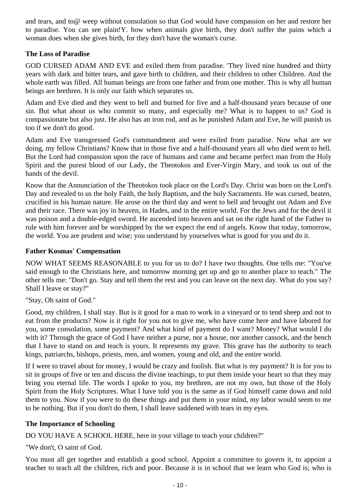and tears, and to@ weep without consolation so that God would have compassion on her and restore her to paradise. You can see plain!Y. how when animals give birth, they don't suffer the pains which a woman does when she gives birth, for they don't have the woman's curse.

## **The Loss of Paradise**

GOD CURSED ADAM AND EVE and exiled them from paradise. 'They lived nine hundred and thirty years with dark and bitter tears, and gave birth to children, and their children to other Children. And the whole earth was filled. All human beings are from one father and from one mother. This is why all human beings are brethren. It is only our faith which separates us.

Adam and Eve died and they went to hell and burned for five and a half-thousand years because of one sin. But what about us who commit so many, and especially me? What is to happen to us? God is compassionate but also just. He also has an iron rod, and as he punished Adam and Eve, he will punish us too if we don't do good.

Adam and Eve transgressed God's commandment and were exiled from paradise. Now what are we doing, my fellow Christians? Know that in those five and a half-thousand years all who died went to hell. But the Lord had compassion upon the race of humans and came and became perfect man from the Holy Spirit and the purest blood of our Lady, the Theotokos and Ever-Virgin Mary, and took us out of the hands of the devil.

Know that the Annunciation of the Theotokos took place on the Lord's Day. Christ was born on the Lord's Day and revealed to us the holy Faith, the holy Baptism, and the holy Sacraments. He was cursed, beaten, crucified in his human nature. He arose on the third day and went to hell and brought out Adam and Eve and their race. There was joy in heaven, in Hades, and in the entire world. For the Jews and for the devil it was poison and a double-edged sword. He ascended into heaven and sat on the right hand of the Father to rule with him forever and be worshipped by the we expect the end of angels. Know that today, tomorrow, the world. You are prudent and wise; you understand by yourselves what is good for you and do it.

#### **Father Kosmas' Compensation**

NOW WHAT SEEMS REASONABLE to you for us to do? I have two thoughts. One tells me: "You've said enough to the Christians here, and tomorrow morning get up and go to another place to teach." The other tells me: "Don't go. Stay and tell them the rest and you can leave on the next day. What do you say? Shall I leave or stay?"

"Stay, Oh saint of God."

Good, my children, I shall stay. But is it good for a man to work in a vineyard or to tend sheep and not to eat from the products? Now is it right for you not to give me, who have come here and have labored for you, some consolation, some payment? And what kind of payment do I want? Money? What would I do with it? Through the grace of God I have neither a purse, nor a house, nor another cassock, and the bench that I have to stand on and teach is yours. It represents my grave. This grave has the authority to teach kings, patriarchs, bishops, priests, men, and women, young and old, and the entire world.

If I were to travel about for money, I would be crazy and foolish. But what is my payment? It is for you to sit in groups of five or ten and discuss the divine teachings, to put them inside your heart so that they may bring you eternal life. The words I spoke to you, my brethren, are not my own, but those of the Holy Spirit from the Holy Scriptures. What I have told you is the same as if God himself came down and told them to you. Now if you were to do these things and put them in your mind, my labor would seem to me to be nothing. But if you don't do them, I shall leave saddened with tears in my eyes.

### **The Importance of Schooling**

DO YOU HAVE A SCHOOL HERE, here in your village to teach your children?"

"We don't, O saint of God.

You must all get together and establish a good school. Appoint a committee to govern it, to appoint a teacher to teach all the children, rich and poor. Because it is in school that we learn who God is; who is